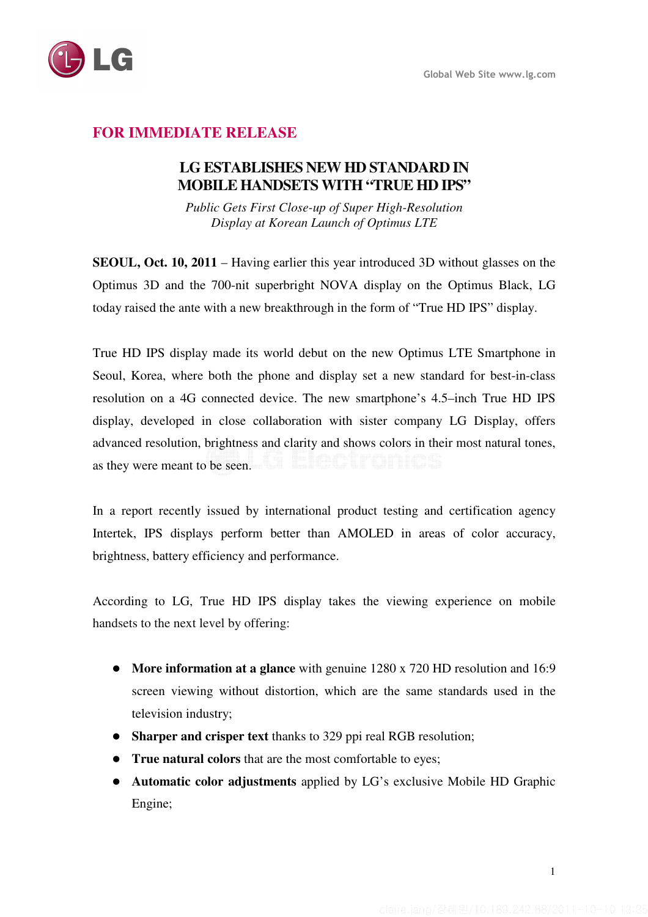

# **FOR IMMEDIATE RELEASE**

## **LG ESTABLISHES NEW HD STANDARD IN MOBILE HANDSETS WITH "TRUE HD IPS"**

*Public Gets First Close-up of Super High-Resolution Display at Korean Launch of Optimus LTE* 

**SEOUL, Oct. 10, 2011** – Having earlier this year introduced 3D without glasses on the Optimus 3D and the 700-nit superbright NOVA display on the Optimus Black, LG today raised the ante with a new breakthrough in the form of "True HD IPS" display.

True HD IPS display made its world debut on the new Optimus LTE Smartphone in Seoul, Korea, where both the phone and display set a new standard for best-in-class resolution on a 4G connected device. The new smartphone's 4.5–inch True HD IPS display, developed in close collaboration with sister company LG Display, offers advanced resolution, brightness and clarity and shows colors in their most natural tones, as they were meant to be seen.

In a report recently issued by international product testing and certification agency Intertek, IPS displays perform better than AMOLED in areas of color accuracy, brightness, battery efficiency and performance.

According to LG, True HD IPS display takes the viewing experience on mobile handsets to the next level by offering:

- **More information at a glance** with genuine 1280 x 720 HD resolution and 16:9 screen viewing without distortion, which are the same standards used in the television industry;
- **Sharper and crisper text** thanks to 329 ppi real RGB resolution;
- **True natural colors** that are the most comfortable to eyes;
- **Automatic color adjustments** applied by LG's exclusive Mobile HD Graphic Engine;